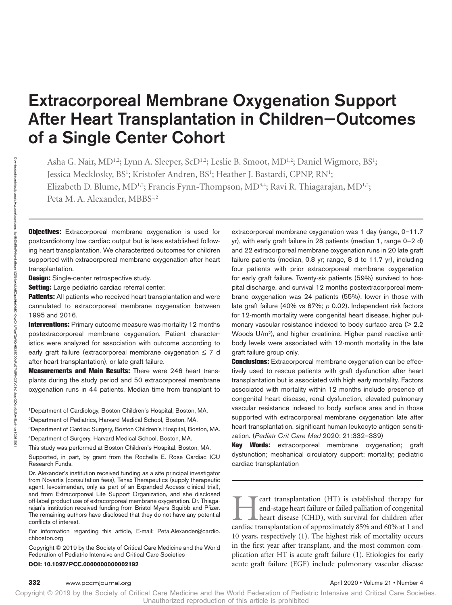# Extracorporeal Membrane Oxygenation Support After Heart Transplantation in Children—Outcomes of a Single Center Cohort

Asha G. Nair, MD<sup>1,2</sup>; Lynn A. Sleeper, ScD<sup>1,2</sup>; Leslie B. Smoot, MD<sup>1,2</sup>; Daniel Wigmore, BS<sup>1</sup>; Jessica Mecklosky, BS<sup>1</sup>; Kristofer Andren, BS<sup>1</sup>; Heather J. Bastardi, CPNP, RN<sup>1</sup>; Elizabeth D. Blume, MD<sup>1,2</sup>; Francis Fynn-Thompson, MD<sup>3,4</sup>; Ravi R. Thiagarajan, MD<sup>1,2</sup>; Peta M. A. Alexander, MBBS<sup>1,2</sup>

**Objectives:** Extracorporeal membrane oxygenation is used for postcardiotomy low cardiac output but is less established following heart transplantation. We characterized outcomes for children supported with extracorporeal membrane oxygenation after heart transplantation.

**Design:** Single-center retrospective study.

Setting: Large pediatric cardiac referral center.

**Patients:** All patients who received heart transplantation and were cannulated to extracorporeal membrane oxygenation between 1995 and 2016.

**Interventions:** Primary outcome measure was mortality 12 months postextracorporeal membrane oxygenation. Patient characteristics were analyzed for association with outcome according to early graft failure (extracorporeal membrane oxygenation  $\leq 7$  d after heart transplantation), or late graft failure.

**Measurements and Main Results:** There were 246 heart transplants during the study period and 50 extracorporeal membrane oxygenation runs in 44 patients. Median time from transplant to

1Department of Cardiology, Boston Children's Hospital, Boston, MA.

2Department of Pediatrics, Harvard Medical School, Boston, MA.

3Department of Cardiac Surgery, Boston Children's Hospital, Boston, MA.

4Department of Surgery, Harvard Medical School, Boston, MA.

This study was performed at Boston Children's Hospital, Boston, MA.

Supported, in part, by grant from the Rochelle E. Rose Cardiac ICU Research Funds.

Dr. Alexander's institution received funding as a site principal investigator from Novartis (consultation fees), Tenax Therapeutics (supply therapeutic agent, levosimendan, only as part of an Expanded Access clinical trial), and from Extracorporeal Life Support Organization, and she disclosed off-label product use of extracorporeal membrane oxygenation. Dr. Thiagarajan's institution received funding from Bristol-Myers Squibb and Pfizer. The remaining authors have disclosed that they do not have any potential conflicts of interest.

For information regarding this article, E-mail: [Peta.Alexander@cardio.](mailto:Peta.Alexander@cardio.chboston.org) [chboston.org](mailto:Peta.Alexander@cardio.chboston.org)

Copyright © 2019 by the Society of Critical Care Medicine and the World Federation of Pediatric Intensive and Critical Care Societies

#### **DOI: 10.1097/PCC.0000000000002192**

extracorporeal membrane oxygenation was 1 day (range, 0–11.7 yr), with early graft failure in 28 patients (median 1, range 0–2 d) and 22 extracorporeal membrane oxygenation runs in 20 late graft failure patients (median, 0.8 yr; range, 8 d to 11.7 yr), including four patients with prior extracorporeal membrane oxygenation for early graft failure. Twenty-six patients (59%) survived to hospital discharge, and survival 12 months postextracorporeal membrane oxygenation was 24 patients (55%), lower in those with late graft failure (40% vs 67%; *p* 0.02). Independent risk factors for 12-month mortality were congenital heart disease, higher pulmonary vascular resistance indexed to body surface area  $(2.2)$ Woods U/m2), and higher creatinine. Higher panel reactive antibody levels were associated with 12-month mortality in the late graft failure group only.

**Conclusions:** Extracorporeal membrane oxygenation can be effectively used to rescue patients with graft dysfunction after heart transplantation but is associated with high early mortality. Factors associated with mortality within 12 months include presence of congenital heart disease, renal dysfunction, elevated pulmonary vascular resistance indexed to body surface area and in those supported with extracorporeal membrane oxygenation late after heart transplantation, significant human leukocyte antigen sensitization. (*Pediatr Crit Care Med* 2020; 21:332–339)

Key Words: extracorporeal membrane oxygenation; graft dysfunction; mechanical circulatory support; mortality; pediatric cardiac transplantation

eart transplantation (HT) is established therapy for end-stage heart failure or failed palliation of congenital heart disease (CHD), with survival for children after cardiac transplantation of approximately 85% and 60% at 1 and 10 years, respectively (1). The highest risk of mortality occurs in the first year after transplant, and the most common complication after HT is acute graft failure (1). Etiologies for early acute graft failure (EGF) include pulmonary vascular disease

BhDMf5ePHKav1zEoum1tQfN4a+kJLhEZgbsIHo4XMi0hCywCX1AWnYQp/IlQrHD3i3D0OdRyi7TvSFl4Cf3VC1y0abggQZXdgGj2MwlZLeI=

on 10/05/2021

Downloaded from

http://journals.lww.com/pccmjournal

ভ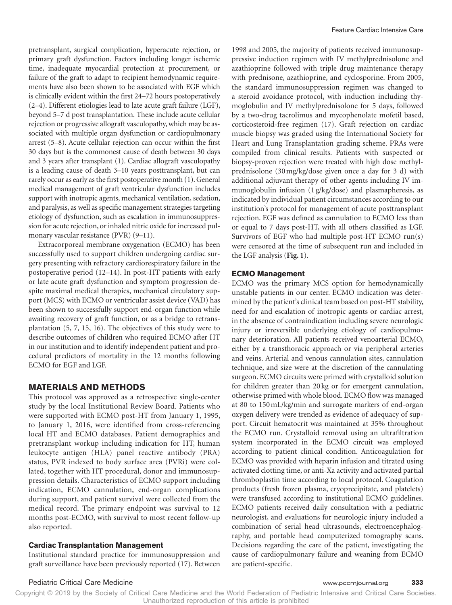pretransplant, surgical complication, hyperacute rejection, or primary graft dysfunction. Factors including longer ischemic time, inadequate myocardial protection at procurement, or failure of the graft to adapt to recipient hemodynamic requirements have also been shown to be associated with EGF which is clinically evident within the first 24–72 hours postoperatively (2–4). Different etiologies lead to late acute graft failure (LGF), beyond 5–7 d post transplantation. These include acute cellular rejection or progressive allograft vasculopathy, which may be associated with multiple organ dysfunction or cardiopulmonary arrest (5–8). Acute cellular rejection can occur within the first 30 days but is the commonest cause of death between 30 days and 3 years after transplant (1). Cardiac allograft vasculopathy is a leading cause of death 3–10 years posttransplant, but can rarely occur as early as the first postoperative month (1). General medical management of graft ventricular dysfunction includes support with inotropic agents, mechanical ventilation, sedation, and paralysis, as well as specific management strategies targeting etiology of dysfunction, such as escalation in immunosuppression for acute rejection, or inhaled nitric oxide for increased pulmonary vascular resistance (PVR) (9–11).

Extracorporeal membrane oxygenation (ECMO) has been successfully used to support children undergoing cardiac surgery presenting with refractory cardiorespiratory failure in the postoperative period (12–14). In post-HT patients with early or late acute graft dysfunction and symptom progression despite maximal medical therapies, mechanical circulatory support (MCS) with ECMO or ventricular assist device (VAD) has been shown to successfully support end-organ function while awaiting recovery of graft function, or as a bridge to retransplantation (5, 7, 15, 16). The objectives of this study were to describe outcomes of children who required ECMO after HT in our institution and to identify independent patient and procedural predictors of mortality in the 12 months following ECMO for EGF and LGF.

### **MATERIALS AND METHODS**

This protocol was approved as a retrospective single-center study by the local Institutional Review Board. Patients who were supported with ECMO post-HT from January 1, 1995, to January 1, 2016, were identified from cross-referencing local HT and ECMO databases. Patient demographics and pretransplant workup including indication for HT, human leukocyte antigen (HLA) panel reactive antibody (PRA) status, PVR indexed to body surface area (PVRi) were collated, together with HT procedural, donor and immunosuppression details. Characteristics of ECMO support including indication, ECMO cannulation, end-organ complications during support, and patient survival were collected from the medical record. The primary endpoint was survival to 12 months post-ECMO, with survival to most recent follow-up also reported.

### **Cardiac Transplantation Management**

Institutional standard practice for immunosuppression and graft surveillance have been previously reported (17). Between 1998 and 2005, the majority of patients received immunosuppressive induction regimen with IV methylprednisolone and azathioprine followed with triple drug maintenance therapy with prednisone, azathioprine, and cyclosporine. From 2005, the standard immunosuppression regimen was changed to a steroid avoidance protocol, with induction including thymoglobulin and IV methylprednisolone for 5 days, followed by a two-drug tacrolimus and mycophenolate mofetil based, corticosteroid-free regimen (17). Graft rejection on cardiac muscle biopsy was graded using the International Society for Heart and Lung Transplantation grading scheme. PRAs were compiled from clinical results. Patients with suspected or biopsy-proven rejection were treated with high dose methylprednisolone (30mg/kg/dose given once a day for 3 d) with additional adjuvant therapy of other agents including IV immunoglobulin infusion (1 g/kg/dose) and plasmapheresis, as indicated by individual patient circumstances according to our institution's protocol for management of acute posttransplant rejection. EGF was defined as cannulation to ECMO less than or equal to 7 days post-HT, with all others classified as LGF. Survivors of EGF who had multiple post-HT ECMO run(s) were censored at the time of subsequent run and included in the LGF analysis (**Fig. 1**).

### **ECMO Management**

ECMO was the primary MCS option for hemodynamically unstable patients in our center. ECMO indication was determined by the patient's clinical team based on post-HT stability, need for and escalation of inotropic agents or cardiac arrest, in the absence of contraindication including severe neurologic injury or irreversible underlying etiology of cardiopulmonary deterioration. All patients received venoarterial ECMO, either by a transthoracic approach or via peripheral arteries and veins. Arterial and venous cannulation sites, cannulation technique, and size were at the discretion of the cannulating surgeon. ECMO circuits were primed with crystalloid solution for children greater than 20 kg or for emergent cannulation, otherwise primed with whole blood. ECMO flow was managed at 80 to 150mL/kg/min and surrogate markers of end-organ oxygen delivery were trended as evidence of adequacy of support. Circuit hematocrit was maintained at 35% throughout the ECMO run. Crystalloid removal using an ultrafiltration system incorporated in the ECMO circuit was employed according to patient clinical condition. Anticoagulation for ECMO was provided with heparin infusion and titrated using activated clotting time, or anti-Xa activity and activated partial thromboplastin time according to local protocol. Coagulation products (fresh frozen plasma, cryoprecipitate, and platelets) were transfused according to institutional ECMO guidelines. ECMO patients received daily consultation with a pediatric neurologist, and evaluations for neurologic injury included a combination of serial head ultrasounds, electroencephalography, and portable head computerized tomography scans. Decisions regarding the care of the patient, investigating the cause of cardiopulmonary failure and weaning from ECMO are patient-specific.

#### Pediatric Critical Care Medicine www.pccmjournal.org **333**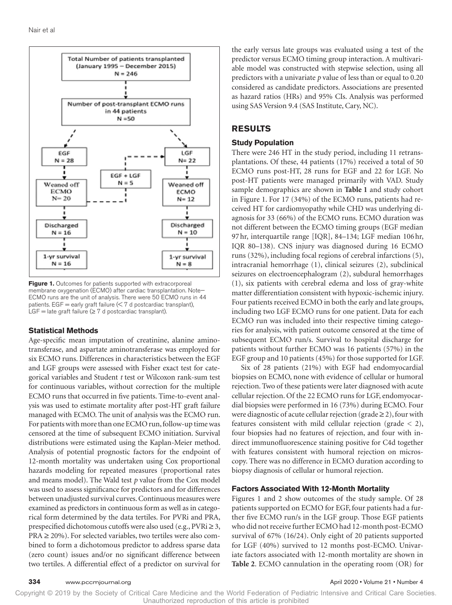

Figure 1. Outcomes for patients supported with extracorporeal membrane oxygenation (ECMO) after cardiac transplantation. Note— ECMO runs are the unit of analysis. There were 50 ECMO runs in 44 patients. EGF = early graft failure  $(< 7$  d postcardiac transplant), LGF = late graft failure ( $\geq 7$  d postcardiac transplant).

#### **Statistical Methods**

Age-specific mean imputation of creatinine, alanine aminotransferase, and aspartate aminotransferase was employed for six ECMO runs. Differences in characteristics between the EGF and LGF groups were assessed with Fisher exact test for categorical variables and Student *t* test or Wilcoxon rank-sum test for continuous variables, without correction for the multiple ECMO runs that occurred in five patients. Time-to-event analysis was used to estimate mortality after post-HT graft failure managed with ECMO. The unit of analysis was the ECMO run. For patients with more than one ECMO run, follow-up time was censored at the time of subsequent ECMO initiation. Survival distributions were estimated using the Kaplan-Meier method. Analysis of potential prognostic factors for the endpoint of 12-month mortality was undertaken using Cox proportional hazards modeling for repeated measures (proportional rates and means model). The Wald test *p* value from the Cox model was used to assess significance for predictors and for differences between unadjusted survival curves. Continuous measures were examined as predictors in continuous form as well as in categorical form determined by the data tertiles. For PVRi and PRA, prespecified dichotomous cutoffs were also used (e.g.,  $PVRi \geq 3$ ,  $PRA \ge 20\%$ ). For selected variables, two tertiles were also combined to form a dichotomous predictor to address sparse data (zero count) issues and/or no significant difference between two tertiles. A differential effect of a predictor on survival for

the early versus late groups was evaluated using a test of the predictor versus ECMO timing group interaction. A multivariable model was constructed with stepwise selection, using all predictors with a univariate *p* value of less than or equal to 0.20 considered as candidate predictors. Associations are presented as hazard ratios (HRs) and 95% CIs. Analysis was performed using SAS Version 9.4 (SAS Institute, Cary, NC).

### **RESULTS**

#### **Study Population**

There were 246 HT in the study period, including 11 retransplantations. Of these, 44 patients (17%) received a total of 50 ECMO runs post-HT, 28 runs for EGF and 22 for LGF. No post-HT patients were managed primarily with VAD. Study sample demographics are shown in **Table 1** and study cohort in Figure 1. For 17 (34%) of the ECMO runs, patients had received HT for cardiomyopathy while CHD was underlying diagnosis for 33 (66%) of the ECMO runs. ECMO duration was not different between the ECMO timing groups (EGF median 97hr, interquartile range [IQR], 84–134; LGF median 106hr, IQR 80–138). CNS injury was diagnosed during 16 ECMO runs (32%), including focal regions of cerebral infarctions (5), intracranial hemorrhage (1), clinical seizures (2), subclinical seizures on electroencephalogram (2), subdural hemorrhages (1), six patients with cerebral edema and loss of gray-white matter differentiation consistent with hypoxic-ischemic injury. Four patients received ECMO in both the early and late groups, including two LGF ECMO runs for one patient. Data for each ECMO run was included into their respective timing categories for analysis, with patient outcome censored at the time of subsequent ECMO run/s. Survival to hospital discharge for patients without further ECMO was 16 patients (57%) in the EGF group and 10 patients (45%) for those supported for LGF.

Six of 28 patients (21%) with EGF had endomyocardial biopsies on ECMO, none with evidence of cellular or humoral rejection. Two of these patients were later diagnosed with acute cellular rejection. Of the 22 ECMO runs for LGF, endomyocardial biopsies were performed in 16 (73%) during ECMO. Four were diagnostic of acute cellular rejection (grade  $\geq$  2), four with features consistent with mild cellular rejection (grade < 2), four biopsies had no features of rejection, and four with indirect immunofluorescence staining positive for C4d together with features consistent with humoral rejection on microscopy. There was no difference in ECMO duration according to biopsy diagnosis of cellular or humoral rejection.

#### **Factors Associated With 12-Month Mortality**

Figures 1 and 2 show outcomes of the study sample. Of 28 patients supported on ECMO for EGF, four patients had a further five ECMO run/s in the LGF group. Those EGF patients who did not receive further ECMO had 12-month post-ECMO survival of 67% (16/24). Only eight of 20 patients supported for LGF (40%) survived to 12 months post-ECMO. Univariate factors associated with 12-month mortality are shown in **Table 2**. ECMO cannulation in the operating room (OR) for

Copyright © 2019 by the Society of Critical Care Medicine and the World Federation of Pediatric Intensive and Critical Care Societies. Unauthorized reproduction of this article is prohibited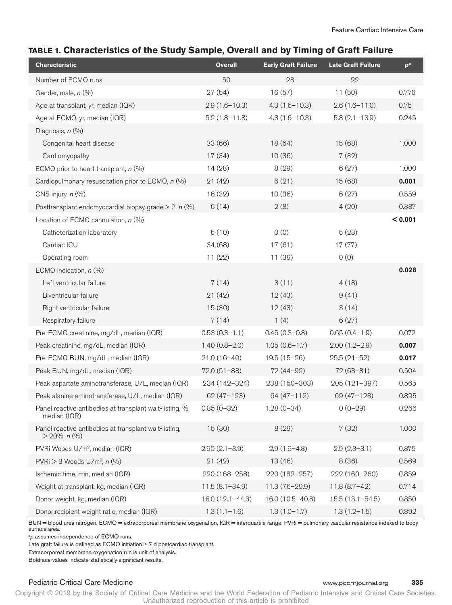# **TABLE 1. Characteristics of the Study Sample, Overall and by Timing of Graft Failure**

| <b>Characteristic</b>                                                    | <b>Overall</b>      | <b>Early Graft Failure</b> | <b>Late Graft Failure</b> | $p^a$   |
|--------------------------------------------------------------------------|---------------------|----------------------------|---------------------------|---------|
| Number of ECMO runs                                                      | 50                  | 28                         | 22                        |         |
| Gender, male, n (%)                                                      | 27(54)              | 16(57)                     | 11(50)                    | 0.776   |
| Age at transplant, yr, median (IQR)                                      | $2.9(1.6 - 10.3)$   | $4.3(1.6 - 10.3)$          | $2.6(1.6 - 11.0)$         | 0.75    |
| Age at ECMO, yr, median (IQR)                                            | $5.2(1.8-11.8)$     | $4.3(1.6 - 10.3)$          | $5.8(2.1 - 13.9)$         | 0.245   |
| Diagnosis, n (%)                                                         |                     |                            |                           |         |
| Congenital heart disease                                                 | 33 (66)             | 18 (64)                    | 15(68)                    | 1.000   |
| Cardiomyopathy                                                           | 17(34)              | 10(36)                     | 7(32)                     |         |
| ECMO prior to heart transplant, $n$ (%)                                  | 14 (28)             | 8(29)                      | 6(27)                     | 1.000   |
| Cardiopulmonary resuscitation prior to ECMO, $n$ (%)                     | 21(42)              | 6(21)                      | 15(68)                    | 0.001   |
| CNS injury, $n$ (%)                                                      | 16 (32)             | 10(36)                     | 6(27)                     | 0.559   |
| Posttransplant endomyocardial biopsy grade $\geq 2$ , n (%)              | 6(14)               | 2(8)                       | 4(20)                     | 0.387   |
| Location of ECMO cannulation, $n$ (%)                                    |                     |                            |                           | < 0.001 |
| Catheterization laboratory                                               | 5(10)               | 0(0)                       | 5(23)                     |         |
| Cardiac ICU                                                              | 34 (68)             | 17(61)                     | 17(77)                    |         |
| Operating room                                                           | 11(22)              | 11 (39)                    | 0(0)                      |         |
| ECMO indication, $n$ (%)                                                 |                     |                            |                           | 0.028   |
| Left ventricular failure                                                 | 7(14)               | 3(11)                      | 4(18)                     |         |
| Biventricular failure                                                    | 21(42)              | 12(43)                     | 9(41)                     |         |
| Right ventricular failure                                                | 15(30)              | 12(43)                     | 3(14)                     |         |
| Respiratory failure                                                      | 7(14)               | 1(4)                       | 6(27)                     |         |
| Pre-ECMO creatinine, mg/dL, median (IQR)                                 | $0.53(0.3 - 1.1)$   | $0.45(0.3 - 0.8)$          | $0.65(0.4-1.9)$           | 0.072   |
| Peak creatinine, mg/dL, median (IQR)                                     | $1.40(0.8-2.0)$     | $1.05(0.6-1.7)$            | $2.00(1.2-2.9)$           | 0.007   |
| Pre-ECMO BUN, mg/dL, median (IQR)                                        | $21.0(16-40)$       | $19.5(15-26)$              | $25.5(21-52)$             | 0.017   |
| Peak BUN, mg/dL, median (IQR)                                            | $72.0(51-88)$       | 72 (44-92)                 | $72(63 - 81)$             | 0.504   |
| Peak aspartate aminotransferase, U/L, median (IQR)                       | 234 (142-324)       | 238 (150-303)              | 205 (121-397)             | 0.565   |
| Peak alanine aminotransferase, U/L, median (IQR)                         | $62(47 - 123)$      | 64 (47-112)                | 69 (47-123)               | 0.895   |
| Panel reactive antibodies at transplant wait-listing, %,<br>median (IQR) | $0.85(0-32)$        | $1.28(0-34)$               | $0(0-29)$                 | 0.266   |
| Panel reactive antibodies at transplant wait-listing,<br>$>$ 20%, n (%)  | 15(30)              | 8(29)                      | 7(32)                     | 1.000   |
| PVRi Woods U/m <sup>2</sup> , median (IQR)                               | $2.90(2.1 - 3.9)$   | $2.9(1.9 - 4.8)$           | $2.9(2.3 - 3.1)$          | 0.875   |
| PVRi $>$ 3 Woods U/m <sup>2</sup> , $n$ (%)                              | 21(42)              | 13(46)                     | 8(36)                     | 0.569   |
| Ischemic time, min, median (IQR)                                         | 220 (168-258)       | 220 (182-257)              | 222 (160-260)             | 0.859   |
| Weight at transplant, kg, median (IQR)                                   | $11.5(8.1 - 34.9)$  | 11.3 (7.6-29.9)            | $11.8(8.7-42)$            | 0.714   |
| Donor weight, kg, median (IQR)                                           | $16.0(12.1 - 44.3)$ | 16.0 (10.5-40.8)           | 15.5 (13.1-54.5)          | 0.850   |
| Donor:recipient weight ratio, median (IQR)                               | $1.3(1.1-1.6)$      | $1.3(1.0-1.7)$             | $1.3(1.2-1.5)$            | 0.892   |

BUN = blood urea nitrogen, ECMO = extracorporeal membrane oxygenation, IQR = interquartile range, PVRi = pulmonary vascular resistance indexed to body surface area.

<sup>a</sup>p assumes independence of ECMO runs.

Late graft failure is defined as ECMO initiation ≥ 7 d postcardiac transplant.

Extracorporeal membrane oxygenation run is unit of analysis.

Boldface values indicate statistically significant results.

### Pediatric Critical Care Medicine www.pccmjournal.org **335**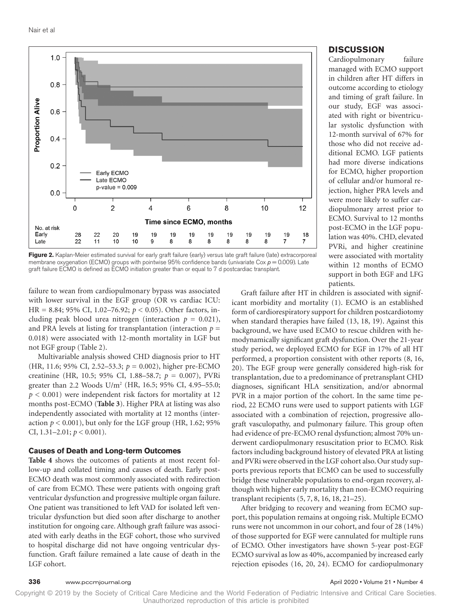

**Figure 2.** Kaplan-Meier estimated survival for early graft failure (early) versus late graft failure (late) extracorporeal membrane oxygenation (ECMO) groups with pointwise  $95%$  confidence bands (univariate Cox  $p = 0.009$ ). Late graft failure ECMO is defined as ECMO initiation greater than or equal to 7 d postcardiac transplant.

failure to wean from cardiopulmonary bypass was associated with lower survival in the EGF group (OR vs cardiac ICU: HR = 8.84; 95% CI, 1.02–76.92; *p* < 0.05). Other factors, including peak blood urea nitrogen (interaction  $p = 0.021$ ), and PRA levels at listing for transplantation (interaction  $p =$ 0.018) were associated with 12-month mortality in LGF but not EGF group (Table 2).

Multivariable analysis showed CHD diagnosis prior to HT (HR, 11.6; 95% CI, 2.52–53.3; *p* = 0.002), higher pre-ECMO creatinine (HR, 10.5; 95% CI, 1.88–58.7; *p* = 0.007), PVRi greater than 2.2 Woods U/m<sup>2</sup> (HR, 16.5; 95% CI, 4.95-55.0; *p* < 0.001) were independent risk factors for mortality at 12 months post-ECMO (**Table 3**). Higher PRA at listing was also independently associated with mortality at 12 months (interaction  $p < 0.001$ ), but only for the LGF group (HR, 1.62; 95% CI, 1.31–2.01; *p* < 0.001).

#### **Causes of Death and Long-term Outcomes**

**Table 4** shows the outcomes of patients at most recent follow-up and collated timing and causes of death. Early post-ECMO death was most commonly associated with redirection of care from ECMO. These were patients with ongoing graft ventricular dysfunction and progressive multiple organ failure. One patient was transitioned to left VAD for isolated left ventricular dysfunction but died soon after discharge to another institution for ongoing care. Although graft failure was associated with early deaths in the EGF cohort, those who survived to hospital discharge did not have ongoing ventricular dysfunction. Graft failure remained a late cause of death in the LGF cohort.

#### **DISCUSSION**

Cardiopulmonary failure managed with ECMO support in children after HT differs in outcome according to etiology and timing of graft failure. In our study, EGF was associated with right or biventricular systolic dysfunction with 12-month survival of 67% for those who did not receive additional ECMO. LGF patients had more diverse indications for ECMO, higher proportion of cellular and/or humoral rejection, higher PRA levels and were more likely to suffer cardiopulmonary arrest prior to ECMO. Survival to 12 months post-ECMO in the LGF population was 40%. CHD, elevated PVRi, and higher creatinine were associated with mortality within 12 months of ECMO support in both EGF and LFG patients.

Graft failure after HT in children is associated with significant morbidity and mortality (1). ECMO is an established form of cardiorespiratory support for children postcardiotomy when standard therapies have failed (13, 18, 19). Against this background, we have used ECMO to rescue children with hemodynamically significant graft dysfunction. Over the 21-year study period, we deployed ECMO for EGF in 17% of all HT performed, a proportion consistent with other reports (8, 16, 20). The EGF group were generally considered high-risk for transplantation, due to a predominance of pretransplant CHD diagnoses, significant HLA sensitization, and/or abnormal PVR in a major portion of the cohort. In the same time period, 22 ECMO runs were used to support patients with LGF associated with a combination of rejection, progressive allograft vasculopathy, and pulmonary failure. This group often had evidence of pre-ECMO renal dysfunction; almost 70% underwent cardiopulmonary resuscitation prior to ECMO. Risk factors including background history of elevated PRA at listing and PVRi were observed in the LGF cohort also. Our study supports previous reports that ECMO can be used to successfully bridge these vulnerable populations to end-organ recovery, although with higher early mortality than non-ECMO requiring transplant recipients (5, 7, 8, 16, 18, 21–25).

After bridging to recovery and weaning from ECMO support, this population remains at ongoing risk. Multiple ECMO runs were not uncommon in our cohort, and four of 28 (14%) of those supported for EGF were cannulated for multiple runs of ECMO. Other investigators have shown 5-year post-EGF ECMO survival as low as 40%, accompanied by increased early rejection episodes (16, 20, 24). ECMO for cardiopulmonary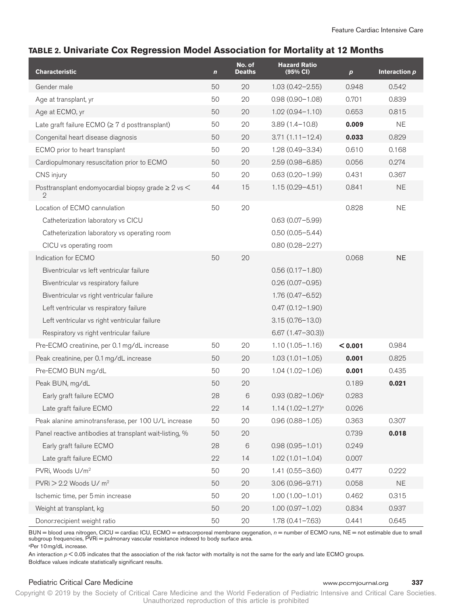# **TABLE 2. Univariate Cox Regression Model Association for Mortality at 12 Months**

| <b>Characteristic</b>                                                         | $\mathbf n$ | No. of<br><b>Deaths</b> | <b>Hazard Ratio</b><br>(95% CI) | $\boldsymbol{p}$ | Interaction $p$ |
|-------------------------------------------------------------------------------|-------------|-------------------------|---------------------------------|------------------|-----------------|
| Gender male                                                                   | 50          | 20                      | $1.03(0.42 - 2.55)$             | 0.948            | 0.542           |
| Age at transplant, yr                                                         | 50          | 20                      | $0.98(0.90 - 1.08)$             | 0.701            | 0.839           |
| Age at ECMO, yr                                                               | 50          | 20                      | $1.02(0.94 - 1.10)$             | 0.653            | 0.815           |
| Late graft failure ECMO ( $\geq 7$ d posttransplant)                          | 50          | 20                      | $3.89(1.4 - 10.8)$              | 0.009            | <b>NE</b>       |
| Congenital heart disease diagnosis                                            | 50          | 20                      | $3.71(1.11 - 12.4)$             | 0.033            | 0.829           |
| ECMO prior to heart transplant                                                | 50          | 20                      | $1.28(0.49 - 3.34)$             | 0.610            | 0.168           |
| Cardiopulmonary resuscitation prior to ECMO                                   | 50          | 20                      | $2.59(0.98 - 6.85)$             | 0.056            | 0.274           |
| CNS injury                                                                    | 50          | 20                      | $0.63(0.20 - 1.99)$             | 0.431            | 0.367           |
| Posttransplant endomyocardial biopsy grade $\geq 2$ vs $\leq$<br>$\mathbf{2}$ | 44          | 15                      | $1.15(0.29 - 4.51)$             | 0.841            | <b>NE</b>       |
| Location of ECMO cannulation                                                  | 50          | 20                      |                                 | 0.828            | <b>NE</b>       |
| Catheterization laboratory vs CICU                                            |             |                         | $0.63(0.07 - 5.99)$             |                  |                 |
| Catheterization laboratory vs operating room                                  |             |                         | $0.50(0.05 - 5.44)$             |                  |                 |
| CICU vs operating room                                                        |             |                         | $0.80(0.28 - 2.27)$             |                  |                 |
| Indication for ECMO                                                           | 50          | 20                      |                                 | 0.068            | <b>NE</b>       |
| Biventricular vs left ventricular failure                                     |             |                         | $0.56(0.17-1.80)$               |                  |                 |
| Biventricular vs respiratory failure                                          |             |                         | $0.26(0.07 - 0.95)$             |                  |                 |
| Biventricular vs right ventricular failure                                    |             |                         | $1.76(0.47 - 6.52)$             |                  |                 |
| Left ventricular vs respiratory failure                                       |             |                         | $0.47(0.12 - 1.90)$             |                  |                 |
| Left ventricular vs right ventricular failure                                 |             |                         | $3.15(0.76 - 13.0)$             |                  |                 |
| Respiratory vs right ventricular failure                                      |             |                         | $6.67(1.47 - 30.3)$             |                  |                 |
| Pre-ECMO creatinine, per 0.1 mg/dL increase                                   | 50          | 20                      | $1.10(1.05 - 1.16)$             | < 0.001          | 0.984           |
| Peak creatinine, per 0.1 mg/dL increase                                       | 50          | 20                      | $1.03(1.01 - 1.05)$             | 0.001            | 0.825           |
| Pre-ECMO BUN mg/dL                                                            | 50          | 20                      | $1.04(1.02 - 1.06)$             | 0.001            | 0.435           |
| Peak BUN, mg/dL                                                               | 50          | 20                      |                                 | 0.189            | 0.021           |
| Early graft failure ECMO                                                      | 28          | 6                       | $0.93(0.82 - 1.06)^a$           | 0.283            |                 |
| Late graft failure ECMO                                                       | 22          | 14                      | $1.14(1.02 - 1.27)^{a}$         | 0.026            |                 |
| Peak alanine aminotransferase, per 100 U/L increase                           | 50          | $20\,$                  | $0.96(0.88 - 1.05)$             | 0.363            | 0.307           |
| Panel reactive antibodies at transplant wait-listing, %                       | 50          | 20                      |                                 | 0.739            | 0.018           |
| Early graft failure ECMO                                                      | 28          | 6                       | $0.98(0.95 - 1.01)$             | 0.249            |                 |
| Late graft failure ECMO                                                       | 22          | 14                      | $1.02(1.01 - 1.04)$             | 0.007            |                 |
| PVRi, Woods U/m <sup>2</sup>                                                  | 50          | 20                      | $1.41(0.55 - 3.60)$             | 0.477            | 0.222           |
| $PVRi > 2.2$ Woods U/m <sup>2</sup>                                           | 50          | $20\,$                  | $3.06(0.96 - 9.71)$             | 0.058            | <b>NE</b>       |
| Ischemic time, per 5 min increase                                             | 50          | $20\,$                  | $1.00(1.00 - 1.01)$             | 0.462            | 0.315           |
| Weight at transplant, kg                                                      | 50          | 20                      | $1.00(0.97 - 1.02)$             | 0.834            | 0.937           |
| Donor:recipient weight ratio                                                  | 50          | 20                      | $1.78(0.41 - 7.63)$             | 0.441            | 0.645           |

BUN = blood urea nitrogen, CICU = cardiac ICU, ECMO = extracorporeal membrane oxygenation,  $n$  = number of ECMO runs, NE = not estimable due to small subgroup frequencies, PVRi = pulmonary vascular resistance indexed to body surface area.

a Per 10mg/dL increase.

An interaction  $p < 0.05$  indicates that the association of the risk factor with mortality is not the same for the early and late ECMO groups. Boldface values indicate statistically significant results.

### Pediatric Critical Care Medicine www.pccmjournal.org **337**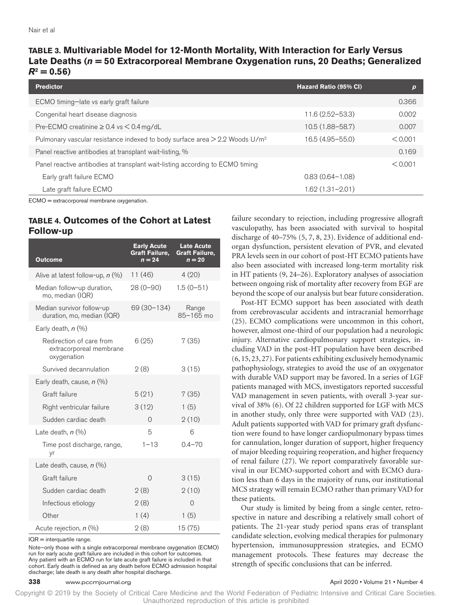# **TABLE 3. Multivariable Model for 12-Month Mortality, With Interaction for Early Versus Late Deaths (***n* **= 50 Extracorporeal Membrane Oxygenation runs, 20 Deaths; Generalized**   $R^2 = 0.56$

| <b>Predictor</b>                                                                          | Hazard Ratio (95% CI) | p       |
|-------------------------------------------------------------------------------------------|-----------------------|---------|
| ECMO timing-late vs early graft failure                                                   |                       | 0.366   |
| Congenital heart disease diagnosis                                                        | $11.6(2.52 - 53.3)$   | 0.002   |
| Pre-ECMO creatinine $\geq 0.4$ vs $\leq 0.4$ mg/dL                                        | $10.5(1.88 - 58.7)$   | 0.007   |
| Pulmonary vascular resistance indexed to body surface area $>$ 2.2 Woods U/m <sup>2</sup> | 16.5 (4.95 - 55.0)    | < 0.001 |
| Panel reactive antibodies at transplant wait-listing, %                                   |                       | 0.169   |
| Panel reactive antibodies at transplant wait-listing according to ECMO timing             |                       | < 0.001 |
| Early graft failure ECMO                                                                  | $0.83(0.64 - 1.08)$   |         |
| Late graft failure ECMO                                                                   | $1.62(1.31 - 2.01)$   |         |

ECMO = extracorporeal membrane oxygenation.

# **TABLE 4. Outcomes of the Cohort at Latest Follow-up**

| Outcome                                                            | <b>Early Acute</b><br><b>Graft Failure,</b><br>$n = 24$ | <b>Late Acute</b><br><b>Graft Failure,</b><br>$n = 20$ |
|--------------------------------------------------------------------|---------------------------------------------------------|--------------------------------------------------------|
| Alive at latest follow-up, $n$ (%)                                 | 11 (46)                                                 | 4(20)                                                  |
| Median follow-up duration,<br>mo, median (IQR)                     | $28(0-90)$                                              | $1.5(0-51)$                                            |
| Median survivor follow-up<br>duration, mo, median (IQR)            | 69 (30–134)                                             | Range<br>85-165 mo                                     |
| Early death, $n$ (%)                                               |                                                         |                                                        |
| Redirection of care from<br>extracorporeal membrane<br>oxygenation | 6(25)                                                   | 7(35)                                                  |
| Survived decannulation                                             | 2(8)                                                    | 3(15)                                                  |
| Early death, cause, $n$ (%)                                        |                                                         |                                                        |
| Graft failure                                                      | 5(21)                                                   | 7(35)                                                  |
| Right ventricular failure                                          | 3(12)                                                   | 1(5)                                                   |
| Sudden cardiac death                                               | $\Omega$                                                | 2(10)                                                  |
| Late death, $n$ $(\%)$                                             | 5                                                       | 6                                                      |
| Time post discharge, range,<br>yr                                  | $1 - 13$                                                | $0.4 - 70$                                             |
| Late death, cause, $n$ $(\%)$                                      |                                                         |                                                        |
| Graft failure                                                      | $\Omega$                                                | 3(15)                                                  |
| Sudden cardiac death                                               | 2(8)                                                    | 2(10)                                                  |
| Infectious etiology                                                | 2(8)                                                    | Ω                                                      |
| Other                                                              | 1(4)                                                    | 1(5)                                                   |
| Acute rejection, n (%)                                             | 2(8)                                                    | 15 (75)                                                |

IQR = interquartile range.

Note—only those with a single extracorporeal membrane oxygenation (ECMO) run for early acute graft failure are included in this cohort for outcomes. Any patient with an ECMO run for late acute graft failure is included in that cohort. Early death is defined as any death before ECMO admission hospital discharge; late death is any death after hospital discharge.

failure secondary to rejection, including progressive allograft vasculopathy, has been associated with survival to hospital discharge of 40–75% (5, 7, 8, 23). Evidence of additional endorgan dysfunction, persistent elevation of PVR, and elevated PRA levels seen in our cohort of post-HT ECMO patients have also been associated with increased long-term mortality risk in HT patients (9, 24–26). Exploratory analyses of association between ongoing risk of mortality after recovery from EGF are beyond the scope of our analysis but bear future consideration.

Post-HT ECMO support has been associated with death from cerebrovascular accidents and intracranial hemorrhage (25). ECMO complications were uncommon in this cohort, however, almost one-third of our population had a neurologic injury. Alternative cardiopulmonary support strategies, including VAD in the post-HT population have been described (6, 15, 23, 27). For patients exhibiting exclusively hemodynamic pathophysiology, strategies to avoid the use of an oxygenator with durable VAD support may be favored. In a series of LGF patients managed with MCS, investigators reported successful VAD management in seven patients, with overall 3-year survival of 38% (6). Of 22 children supported for LGF with MCS in another study, only three were supported with VAD (23). Adult patients supported with VAD for primary graft dysfunction were found to have longer cardiopulmonary bypass times for cannulation, longer duration of support, higher frequency of major bleeding requiring reoperation, and higher frequency of renal failure (27). We report comparatively favorable survival in our ECMO-supported cohort and with ECMO duration less than 6 days in the majority of runs, our institutional MCS strategy will remain ECMO rather than primary VAD for these patients.

Our study is limited by being from a single center, retrospective in nature and describing a relatively small cohort of patients. The 21-year study period spans eras of transplant candidate selection, evolving medical therapies for pulmonary hypertension, immunosuppression strategies, and ECMO management protocols. These features may decrease the strength of specific conclusions that can be inferred.

#### **338** www.pccmjournal.org **April 2020 • Volume 21 • Number 4 April 2020 • Volume 21 • Number 4**